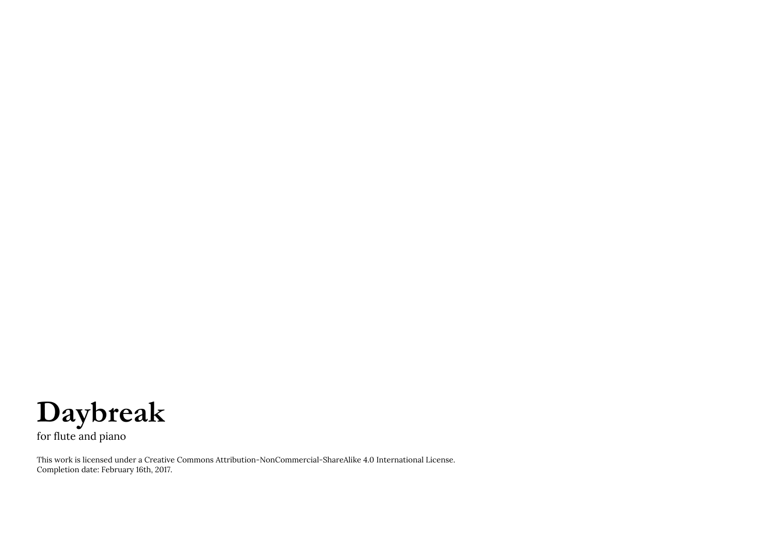

This work is licensed under a Creative Commons Attribution-NonCommercial-ShareAlike 4.0 International License. Completion date: February 16th, 2017.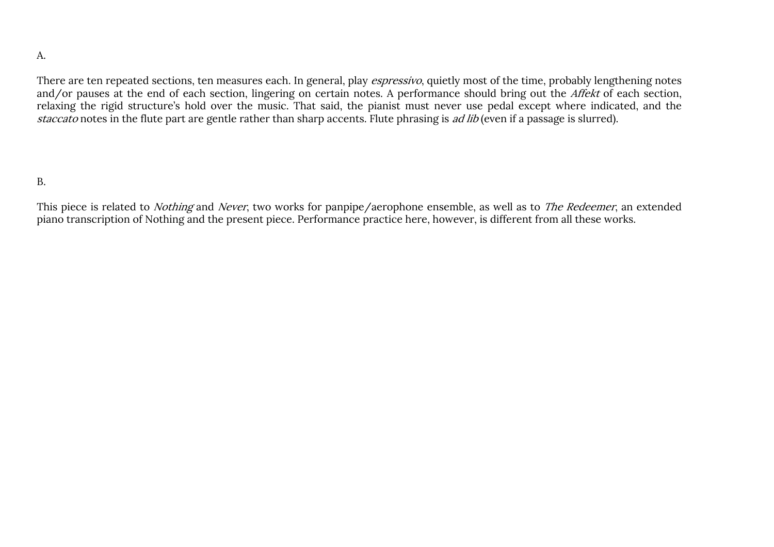## A.

There are ten repeated sections, ten measures each. In general, play *espressivo*, quietly most of the time, probably lengthening notes and/or pauses at the end of each section, lingering on certain notes. A performance should bring out the *Affekt* of each section, relaxing the rigid structure's hold over the music. That said, the pianist must never use pedal except where indicated, and the staccato notes in the flute part are gentle rather than sharp accents. Flute phrasing is ad lib (even if a passage is slurred).

This piece is related to *Nothing* and *Never*, two works for panpipe/aerophone ensemble, as well as to *The Redeemer*, an extended piano transcription of Nothing and the present piece. Performance practice here, however, is different from all these works.

## B.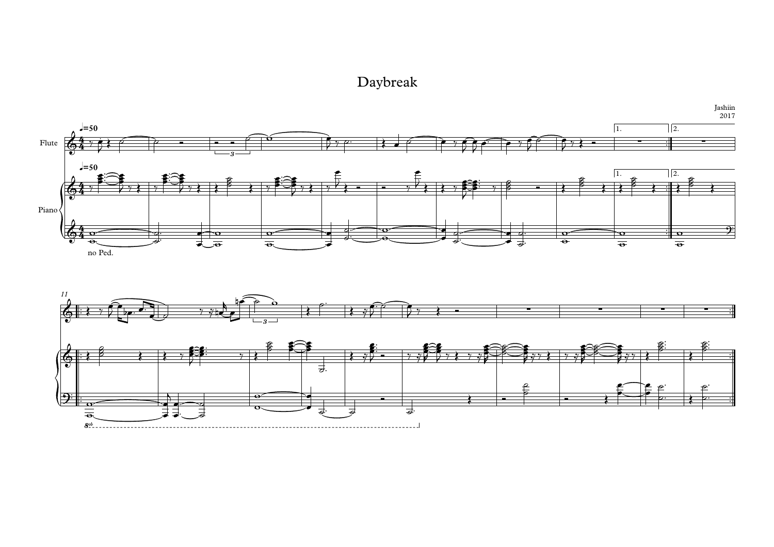



## Daybreak

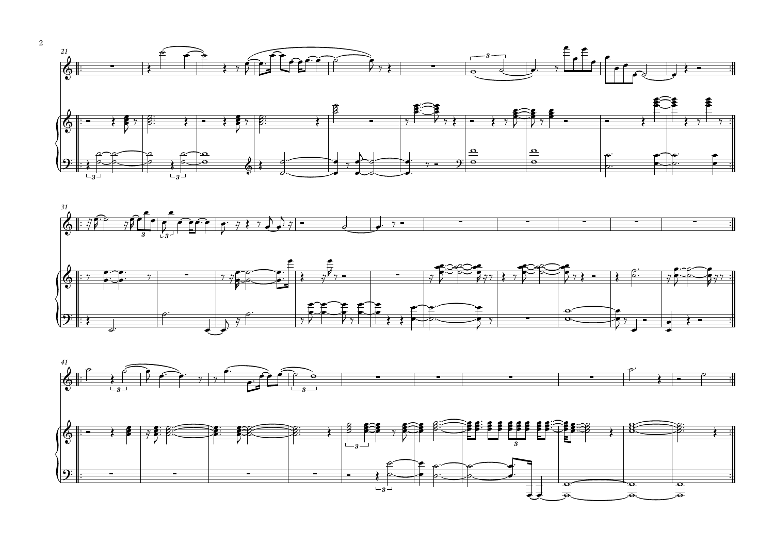



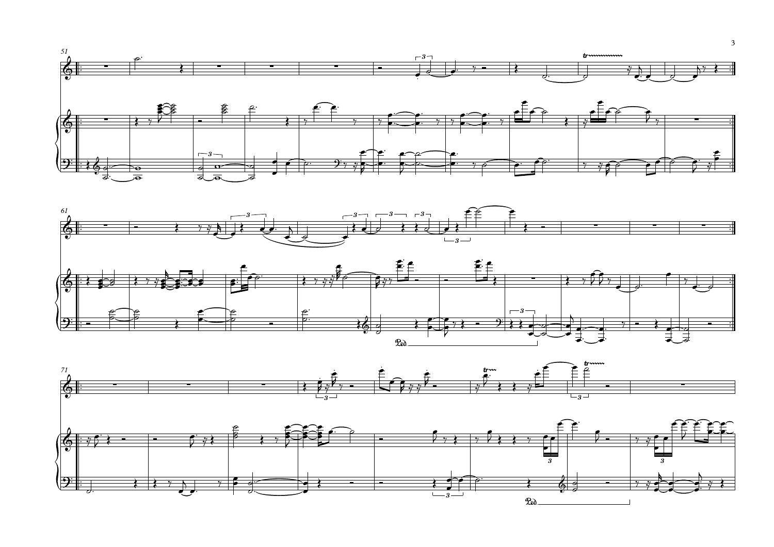